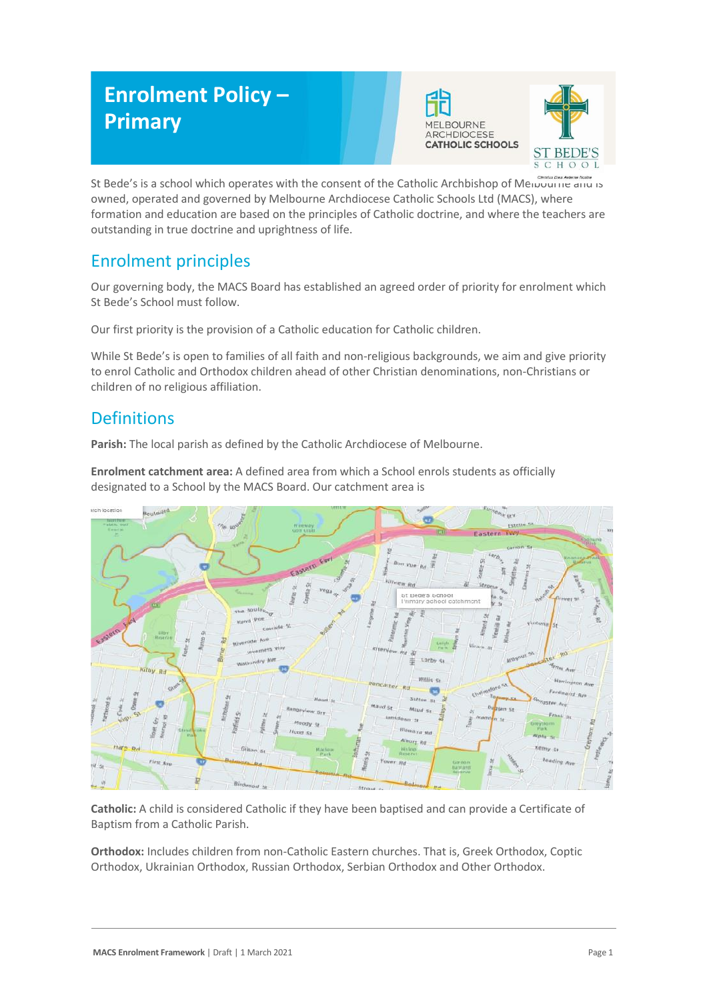# **Enrolment Policy – Primary**





St Bede's is a school which operates with the consent of the Catholic Archbishop of Melbourne and is owned, operated and governed by Melbourne Archdiocese Catholic Schools Ltd (MACS), where formation and education are based on the principles of Catholic doctrine, and where the teachers are outstanding in true doctrine and uprightness of life.

## Enrolment principles

Our governing body, the MACS Board has established an agreed order of priority for enrolment which St Bede's School must follow.

Our first priority is the provision of a Catholic education for Catholic children.

While St Bede's is open to families of all faith and non-religious backgrounds, we aim and give priority to enrol Catholic and Orthodox children ahead of other Christian denominations, non-Christians or children of no religious affiliation.

## **Definitions**

**Parish:** The local parish as defined by the Catholic Archdiocese of Melbourne.

**Enrolment catchment area:** A defined area from which a School enrols students as officially designated to a School by the MACS Board. Our catchment area is



**Catholic:** A child is considered Catholic if they have been baptised and can provide a Certificate of Baptism from a Catholic Parish.

**Orthodox:** Includes children from non-Catholic Eastern churches. That is, Greek Orthodox, Coptic Orthodox, Ukrainian Orthodox, Russian Orthodox, Serbian Orthodox and Other Orthodox.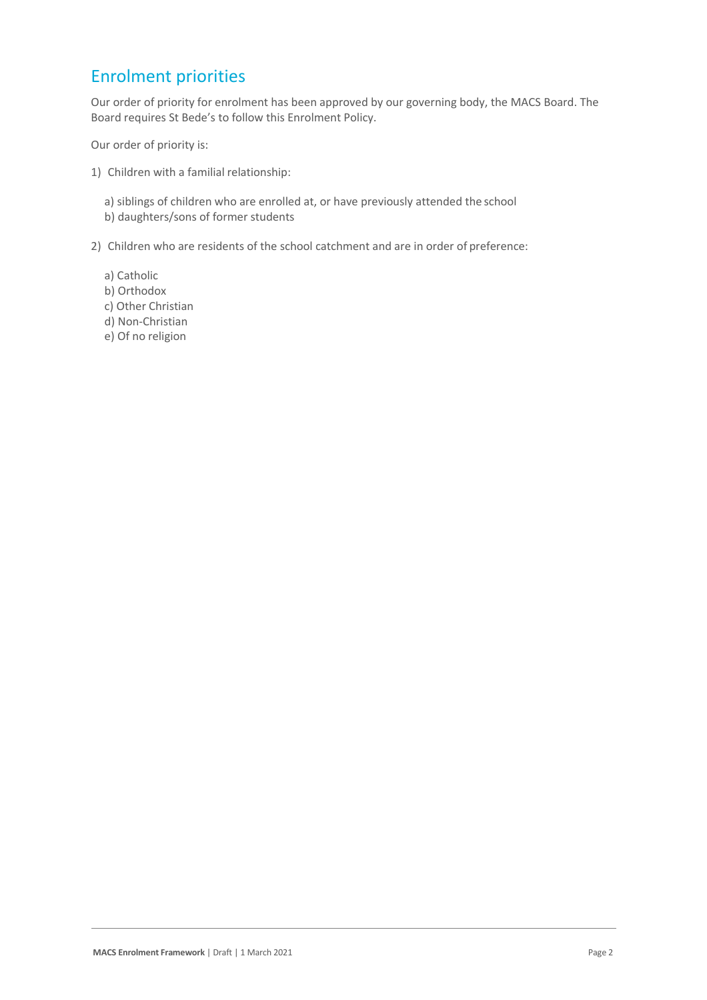#### Enrolment priorities

Our order of priority for enrolment has been approved by our governing body, the MACS Board. The Board requires St Bede's to follow this Enrolment Policy.

Our order of priority is:

- 1) Children with a familial relationship:
	- a) siblings of children who are enrolled at, or have previously attended the school b) daughters/sons of former students
- 2) Children who are residents of the school catchment and are in order of preference:
	- a) Catholic
	- b) Orthodox
	- c) Other Christian
	- d) Non-Christian
	- e) Of no religion